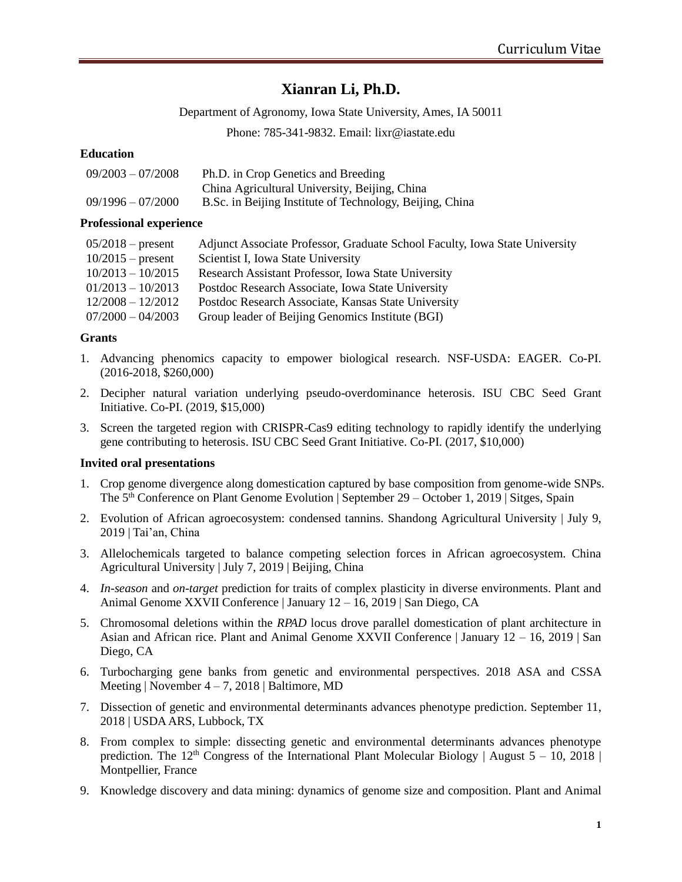# **Xianran Li, Ph.D.**

Department of Agronomy, Iowa State University, Ames, IA 50011

Phone: 785-341-9832. Email: lixr@iastate.edu

## **Education**

| $09/2003 - 07/2008$ | Ph.D. in Crop Genetics and Breeding                      |
|---------------------|----------------------------------------------------------|
|                     | China Agricultural University, Beijing, China            |
| $09/1996 - 07/2000$ | B.Sc. in Beijing Institute of Technology, Beijing, China |

### **Professional experience**

| $05/2018$ – present | Adjunct Associate Professor, Graduate School Faculty, Iowa State University |
|---------------------|-----------------------------------------------------------------------------|
| $10/2015$ – present | Scientist I, Iowa State University                                          |
| $10/2013 - 10/2015$ | Research Assistant Professor, Iowa State University                         |
| $01/2013 - 10/2013$ | Postdoc Research Associate, Iowa State University                           |
| $12/2008 - 12/2012$ | Postdoc Research Associate, Kansas State University                         |
| $07/2000 - 04/2003$ | Group leader of Beijing Genomics Institute (BGI)                            |

### **Grants**

- 1. Advancing phenomics capacity to empower biological research. NSF-USDA: EAGER. Co-PI. (2016-2018, \$260,000)
- 2. Decipher natural variation underlying pseudo-overdominance heterosis. ISU CBC Seed Grant Initiative. Co-PI. (2019, \$15,000)
- 3. Screen the targeted region with CRISPR-Cas9 editing technology to rapidly identify the underlying gene contributing to heterosis. ISU CBC Seed Grant Initiative. Co-PI. (2017, \$10,000)

### **Invited oral presentations**

- 1. Crop genome divergence along domestication captured by base composition from genome-wide SNPs. The 5<sup>th</sup> Conference on Plant Genome Evolution | September 29 – October 1, 2019 | Sitges, Spain
- 2. Evolution of African agroecosystem: condensed tannins. Shandong Agricultural University | July 9, 2019 | Tai'an, China
- 3. Allelochemicals targeted to balance competing selection forces in African agroecosystem. China Agricultural University | July 7, 2019 | Beijing, China
- 4. *In-season* and *on-target* prediction for traits of complex plasticity in diverse environments. Plant and Animal Genome XXVII Conference | January 12 – 16, 2019 | San Diego, CA
- 5. Chromosomal deletions within the *RPAD* locus drove parallel domestication of plant architecture in Asian and African rice. Plant and Animal Genome XXVII Conference | January 12 – 16, 2019 | San Diego, CA
- 6. Turbocharging gene banks from genetic and environmental perspectives. 2018 ASA and CSSA Meeting | November  $4 - 7$ , 2018 | Baltimore, MD
- 7. Dissection of genetic and environmental determinants advances phenotype prediction. September 11, 2018 | USDAARS, Lubbock, TX
- 8. From complex to simple: dissecting genetic and environmental determinants advances phenotype prediction. The 12<sup>th</sup> Congress of the International Plant Molecular Biology | August 5 – 10, 2018 | Montpellier, France
- 9. Knowledge discovery and data mining: dynamics of genome size and composition. Plant and Animal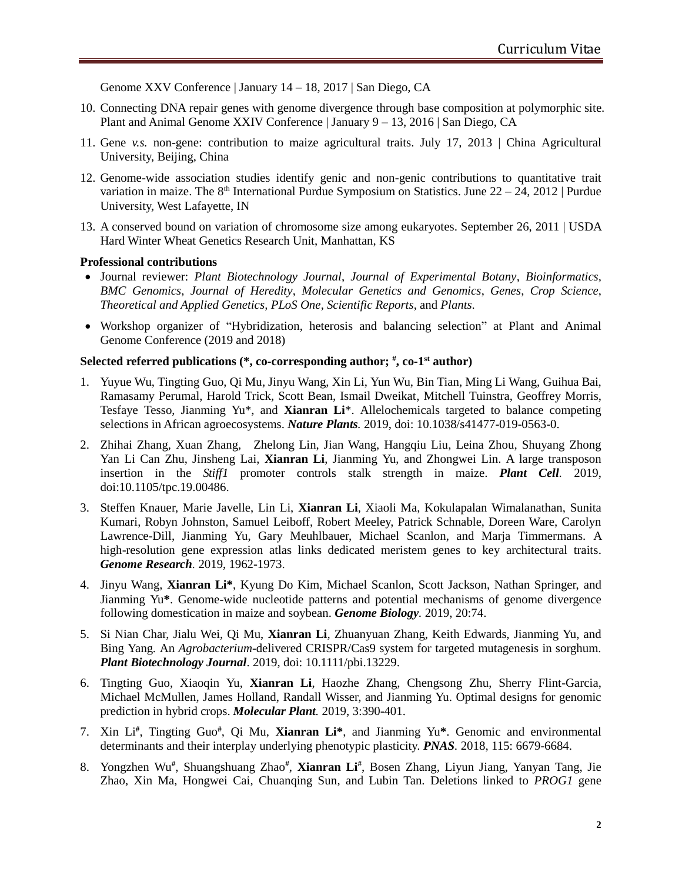Genome XXV Conference | January 14 – 18, 2017 | San Diego, CA

- 10. Connecting DNA repair genes with genome divergence through base composition at polymorphic site. Plant and Animal Genome XXIV Conference | January 9 – 13, 2016 | San Diego, CA
- 11. Gene *v.s.* non-gene: contribution to maize agricultural traits. July 17, 2013 | China Agricultural University, Beijing, China
- 12. Genome-wide association studies identify genic and non-genic contributions to quantitative trait variation in maize. The  $8<sup>th</sup>$  International Purdue Symposium on Statistics. June  $22 - 24$ ,  $2012$  | Purdue University, West Lafayette, IN
- 13. A conserved bound on variation of chromosome size among eukaryotes. September 26, 2011 | USDA Hard Winter Wheat Genetics Research Unit, Manhattan, KS

#### **Professional contributions**

- Journal reviewer: *Plant Biotechnology Journal*, *Journal of Experimental Botany*, *Bioinformatics, BMC Genomics*, *Journal of Heredity*, *Molecular Genetics and Genomics*, *Genes*, *Crop Science*, *Theoretical and Applied Genetics, PLoS One*, *Scientific Reports*, and *Plants*.
- Workshop organizer of "Hybridization, heterosis and balancing selection" at Plant and Animal Genome Conference (2019 and 2018)

#### **Selected referred publications (\*, co-corresponding author; # , co-1 st author)**

- 1. Yuyue Wu, Tingting Guo, Qi Mu, Jinyu Wang, Xin Li, Yun Wu, Bin Tian, Ming Li Wang, Guihua Bai, Ramasamy Perumal, Harold Trick, Scott Bean, Ismail Dweikat, Mitchell Tuinstra, Geoffrey Morris, Tesfaye Tesso, Jianming Yu\*, and **Xianran Li**\*. Allelochemicals targeted to balance competing selections in African agroecosystems. *Nature Plants.* 2019, doi: [10.1038/s41477-019-0563-0.](https://doi.org/10.1038/s41477-019-0563-0)
- 2. Zhihai Zhang, Xuan Zhang, Zhelong Lin, Jian Wang, Hangqiu Liu, Leina Zhou, Shuyang Zhong Yan Li Can Zhu, Jinsheng Lai, **Xianran Li**, Jianming Yu, and Zhongwei Lin. A large transposon insertion in the *Stiff1* promoter controls stalk strength in maize. *Plant Cell.* 2019, doi:10.1105/tpc.19.00486.
- 3. Steffen Knauer, Marie Javelle, Lin Li, **Xianran Li**, Xiaoli Ma, Kokulapalan Wimalanathan, Sunita Kumari, Robyn Johnston, Samuel Leiboff, Robert Meeley, Patrick Schnable, Doreen Ware, Carolyn Lawrence-Dill, Jianming Yu, Gary Meuhlbauer, Michael Scanlon, and Marja Timmermans. A high-resolution gene expression atlas links dedicated meristem genes to key architectural traits. *Genome Research.* 2019, 1962-1973.
- 4. Jinyu Wang, **Xianran Li\***, Kyung Do Kim, Michael Scanlon, Scott Jackson, Nathan Springer, and Jianming Yu**\***. Genome-wide nucleotide patterns and potential mechanisms of genome divergence following domestication in maize and soybean. *Genome Biology.* 2019, 20:74.
- 5. Si Nian Char, Jialu Wei, Qi Mu, **Xianran Li**, Zhuanyuan Zhang, Keith Edwards, Jianming Yu, and Bing Yang*.* An *Agrobacterium*-delivered CRISPR/Cas9 system for targeted mutagenesis in sorghum. *Plant Biotechnology Journal*. 2019, doi: 10.1111/pbi.13229.
- 6. Tingting Guo, Xiaoqin Yu, **Xianran Li**, Haozhe Zhang, Chengsong Zhu, Sherry Flint-Garcia, Michael McMullen, James Holland, Randall Wisser, and Jianming Yu. Optimal designs for genomic prediction in hybrid crops. *Molecular Plant.* 2019, 3:390-401.
- 7. Xin Li**#** , Tingting Guo**#** , Qi Mu, **Xianran Li\***, and Jianming Yu**\***. Genomic and environmental determinants and their interplay underlying phenotypic plasticity. *PNAS.* 2018, 115: 6679-6684.
- 8. Yongzhen Wu**#** , Shuangshuang Zhao**#** , **Xianran Li#** , Bosen Zhang, Liyun Jiang, Yanyan Tang, Jie Zhao, Xin Ma, Hongwei Cai, Chuanqing Sun, and Lubin Tan. Deletions linked to *PROG1* gene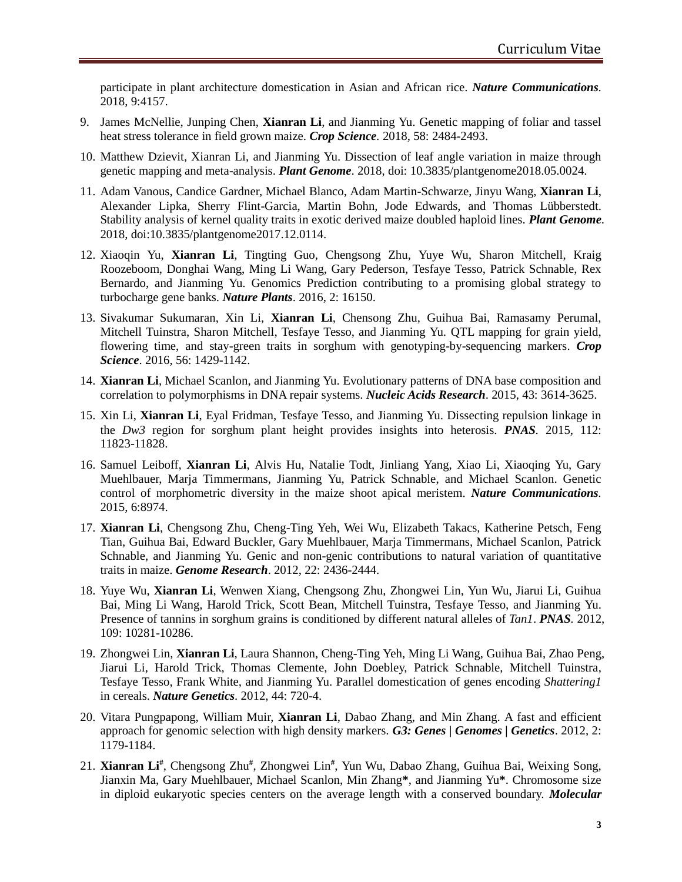participate in plant architecture domestication in Asian and African rice. *Nature Communications.* 2018, 9:4157.

- 9. James McNellie, Junping Chen, **Xianran Li**, and Jianming Yu. Genetic mapping of foliar and tassel heat stress tolerance in field grown maize. *Crop Science.* 2018, 58: 2484-2493.
- 10. Matthew Dzievit, Xianran Li, and Jianming Yu. Dissection of leaf angle variation in maize through genetic mapping and meta-analysis. *Plant Genome*. 2018, doi: 10.3835/plantgenome2018.05.0024.
- 11. Adam Vanous, Candice Gardner, Michael Blanco, Adam Martin-Schwarze, Jinyu Wang, **Xianran Li**, Alexander Lipka, Sherry Flint-Garcia, Martin Bohn, Jode Edwards, and Thomas Lübberstedt. Stability analysis of kernel quality traits in exotic derived maize doubled haploid lines. *Plant Genome*. 2018, doi:10.3835/plantgenome2017.12.0114.
- 12. Xiaoqin Yu, **Xianran Li**, Tingting Guo, Chengsong Zhu, Yuye Wu, Sharon Mitchell, Kraig Roozeboom, Donghai Wang, Ming Li Wang, Gary Pederson, Tesfaye Tesso, Patrick Schnable, Rex Bernardo, and Jianming Yu. Genomics Prediction contributing to a promising global strategy to turbocharge gene banks. *Nature Plants*. 2016, 2: 16150.
- 13. Sivakumar Sukumaran, Xin Li, **Xianran Li**, Chensong Zhu, Guihua Bai, Ramasamy Perumal, Mitchell Tuinstra, Sharon Mitchell, Tesfaye Tesso, and Jianming Yu. QTL mapping for grain yield, flowering time, and stay-green traits in sorghum with genotyping-by-sequencing markers. *Crop Science*. 2016, 56: 1429-1142.
- 14. **Xianran Li**, Michael Scanlon, and Jianming Yu. Evolutionary patterns of DNA base composition and correlation to polymorphisms in DNA repair systems. *Nucleic Acids Research*. 2015, 43: 3614-3625.
- 15. Xin Li, **Xianran Li**, Eyal Fridman, Tesfaye Tesso, and Jianming Yu. Dissecting repulsion linkage in the *Dw3* region for sorghum plant height provides insights into heterosis. *PNAS.* 2015, 112: 11823-11828.
- 16. Samuel Leiboff, **Xianran Li**, Alvis Hu, Natalie Todt, Jinliang Yang, Xiao Li, Xiaoqing Yu, Gary Muehlbauer, Marja Timmermans, Jianming Yu, Patrick Schnable, and Michael Scanlon. Genetic control of morphometric diversity in the maize shoot apical meristem. *Nature Communications.* 2015, 6:8974.
- 17. **Xianran Li**, Chengsong Zhu, Cheng-Ting Yeh, Wei Wu, Elizabeth Takacs, Katherine Petsch, Feng Tian, Guihua Bai, Edward Buckler, Gary Muehlbauer, Marja Timmermans, Michael Scanlon, Patrick Schnable, and Jianming Yu. Genic and non-genic contributions to natural variation of quantitative traits in maize. *Genome Research*. 2012, 22: 2436-2444.
- 18. Yuye Wu, **Xianran Li**, Wenwen Xiang, Chengsong Zhu, Zhongwei Lin, Yun Wu, Jiarui Li, Guihua Bai, Ming Li Wang, Harold Trick, Scott Bean, Mitchell Tuinstra, Tesfaye Tesso, and Jianming Yu. Presence of tannins in sorghum grains is conditioned by different natural alleles of *Tan1*. *PNAS.* 2012, 109: 10281-10286.
- 19. Zhongwei Lin, **Xianran Li**, Laura Shannon, Cheng-Ting Yeh, Ming Li Wang, Guihua Bai, Zhao Peng, Jiarui Li, Harold Trick, Thomas Clemente, John Doebley, Patrick Schnable, Mitchell Tuinstra, Tesfaye Tesso, Frank White, and Jianming Yu. Parallel domestication of genes encoding *Shattering1* in cereals. *Nature Genetics*. 2012, 44: 720-4.
- 20. Vitara Pungpapong, William Muir, **Xianran Li**, Dabao Zhang, and Min Zhang. A fast and efficient approach for genomic selection with high density markers. *G3: Genes | Genomes | Genetics*. 2012, 2: 1179-1184.
- 21. **Xianran Li#** , Chengsong Zhu**#** , Zhongwei Lin**#** , Yun Wu, Dabao Zhang, Guihua Bai, Weixing Song, Jianxin Ma, Gary Muehlbauer, Michael Scanlon, Min Zhang**\***, and Jianming Yu**\***. Chromosome size in diploid eukaryotic species centers on the average length with a conserved boundary. *Molecular*